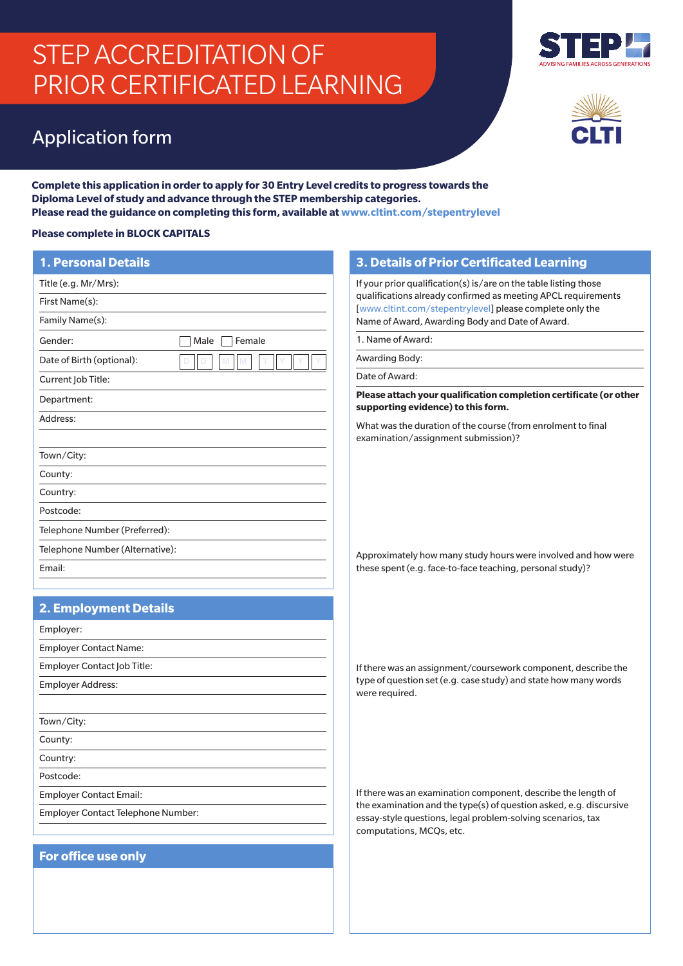# STEP ACCREDITATION OF PRIOR CERTIFICATED LEARNING

## Application form





**Complete this application in order to apply for 30 Entry Level credits to progress towards the Diploma Level of study and advance through the STEP membership categories. Please read the guidance on completing this form, available at www.cltint.com/stepentrylevel**

### **Please complete in BLOCK CAPITALS**

| <b>Please complete in BLOCK CAPITALS</b> |                |
|------------------------------------------|----------------|
| <b>1. Personal Details</b>               |                |
| Title (e.g. Mr/Mrs):                     |                |
| First Name(s):                           |                |
| Family Name(s):                          |                |
| Gender:                                  | Female<br>Male |
| Date of Birth (optional):                | M<br>M         |
| Current Job Title:                       |                |
| Department:                              |                |
| Address:                                 |                |
|                                          |                |
| Town/City:                               |                |
| County:                                  |                |
| Country:                                 |                |
| Postcode:                                |                |
| Telephone Number (Preferred):            |                |
| Telephone Number (Alternative):          |                |
| Email:                                   |                |
|                                          |                |

## **2. Employment Details**

| Employer:                                 |
|-------------------------------------------|
| <b>Employer Contact Name:</b>             |
| Employer Contact Job Title:               |
| <b>Employer Address:</b>                  |
|                                           |
| Town/City:                                |
| County:                                   |
| Country:                                  |
| Postcode:                                 |
| <b>Employer Contact Email:</b>            |
| <b>Employer Contact Telephone Number:</b> |
|                                           |

## **For office use only**

## **3. Details of Prior Certificated Learning**

If your prior qualification(s) is/are on the table listing those qualifications already confirmed as meeting APCL requirements [www.cltint.com/stepentrylevel] please complete only the Name of Award, Awarding Body and Date of Award.

1. Name of Award:

Awarding Body:

Date of Award:

**Please attach your qualification completion certificate (or other supporting evidence) to this form.** 

What was the duration of the course (from enrolment to final examination/assignment submission)?

Approximately how many study hours were involved and how were these spent (e.g. face-to-face teaching, personal study)?

If there was an assignment/coursework component, describe the type of question set (e.g. case study) and state how many words were required.

If there was an examination component, describe the length of the examination and the type(s) of question asked, e.g. discursive essay-style questions, legal problem-solving scenarios, tax computations, MCQs, etc.